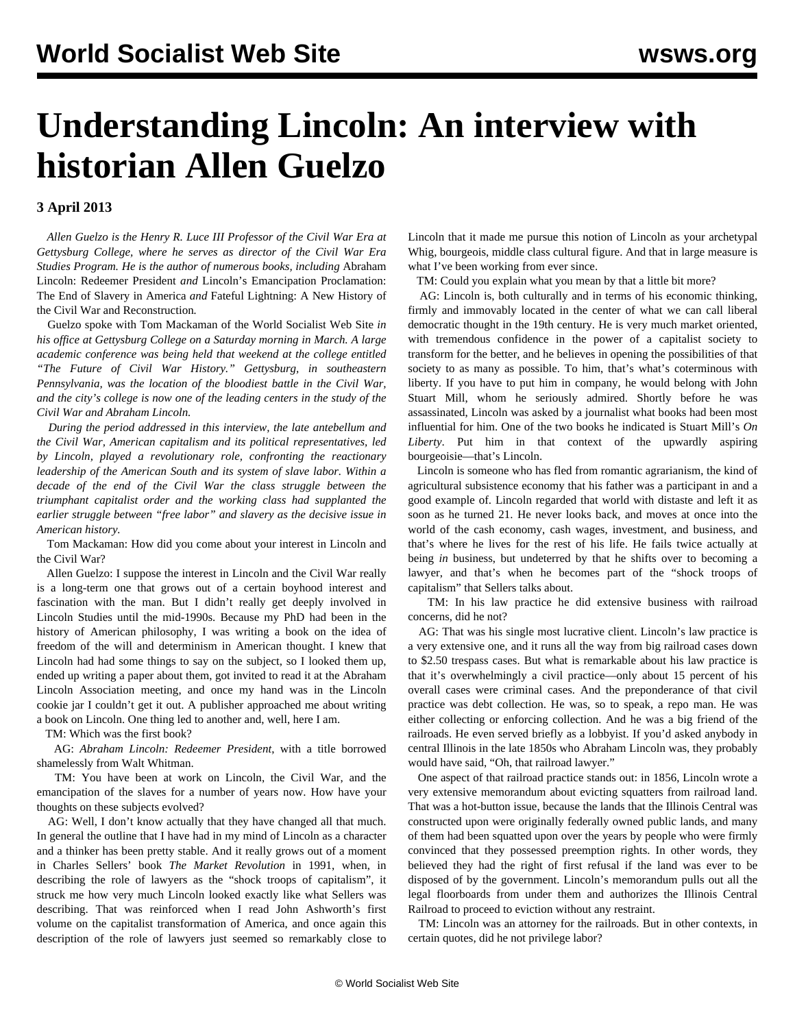## **Understanding Lincoln: An interview with historian Allen Guelzo**

## **3 April 2013**

 *Allen Guelzo is the Henry R. Luce III Professor of the Civil War Era at Gettysburg College, where he serves as director of the Civil War Era Studies Program. He is the author of numerous books, including* Abraham Lincoln: Redeemer President *and* Lincoln's Emancipation Proclamation: The End of Slavery in America *and* Fateful Lightning: A New History of the Civil War and Reconstruction*.* 

 Guelzo spoke with Tom Mackaman of the World Socialist Web Site *in his office at Gettysburg College on a Saturday morning in March. A large academic conference was being held that weekend at the college entitled "The Future of Civil War History." Gettysburg, in southeastern Pennsylvania, was the location of the bloodiest battle in the Civil War, and the city's college is now one of the leading centers in the study of the Civil War and Abraham Lincoln.*

 *During the period addressed in this interview, the late antebellum and the Civil War, American capitalism and its political representatives, led by Lincoln, played a revolutionary role, confronting the reactionary leadership of the American South and its system of slave labor. Within a decade of the end of the Civil War the class struggle between the triumphant capitalist order and the working class had supplanted the earlier struggle between "free labor" and slavery as the decisive issue in American history.* 

 Tom Mackaman: How did you come about your interest in Lincoln and the Civil War?

 Allen Guelzo: I suppose the interest in Lincoln and the Civil War really is a long-term one that grows out of a certain boyhood interest and fascination with the man. But I didn't really get deeply involved in Lincoln Studies until the mid-1990s. Because my PhD had been in the history of American philosophy, I was writing a book on the idea of freedom of the will and determinism in American thought. I knew that Lincoln had had some things to say on the subject, so I looked them up, ended up writing a paper about them, got invited to read it at the Abraham Lincoln Association meeting, and once my hand was in the Lincoln cookie jar I couldn't get it out. A publisher approached me about writing a book on Lincoln. One thing led to another and, well, here I am.

TM: Which was the first book?

 AG: *Abraham Lincoln: Redeemer President*, with a title borrowed shamelessly from Walt Whitman.

 TM: You have been at work on Lincoln, the Civil War, and the emancipation of the slaves for a number of years now. How have your thoughts on these subjects evolved?

 AG: Well, I don't know actually that they have changed all that much. In general the outline that I have had in my mind of Lincoln as a character and a thinker has been pretty stable. And it really grows out of a moment in Charles Sellers' book *The Market Revolution* in 1991, when, in describing the role of lawyers as the "shock troops of capitalism", it struck me how very much Lincoln looked exactly like what Sellers was describing. That was reinforced when I read John Ashworth's first volume on the capitalist transformation of America, and once again this description of the role of lawyers just seemed so remarkably close to

Lincoln that it made me pursue this notion of Lincoln as your archetypal Whig, bourgeois, middle class cultural figure. And that in large measure is what I've been working from ever since.

TM: Could you explain what you mean by that a little bit more?

 AG: Lincoln is, both culturally and in terms of his economic thinking, firmly and immovably located in the center of what we can call liberal democratic thought in the 19th century. He is very much market oriented, with tremendous confidence in the power of a capitalist society to transform for the better, and he believes in opening the possibilities of that society to as many as possible. To him, that's what's coterminous with liberty. If you have to put him in company, he would belong with John Stuart Mill, whom he seriously admired. Shortly before he was assassinated, Lincoln was asked by a journalist what books had been most influential for him. One of the two books he indicated is Stuart Mill's *On Liberty*. Put him in that context of the upwardly aspiring bourgeoisie—that's Lincoln.

 Lincoln is someone who has fled from romantic agrarianism, the kind of agricultural subsistence economy that his father was a participant in and a good example of. Lincoln regarded that world with distaste and left it as soon as he turned 21. He never looks back, and moves at once into the world of the cash economy, cash wages, investment, and business, and that's where he lives for the rest of his life. He fails twice actually at being *in* business, but undeterred by that he shifts over to becoming a lawyer, and that's when he becomes part of the "shock troops of capitalism" that Sellers talks about.

 TM: In his law practice he did extensive business with railroad concerns, did he not?

 AG: That was his single most lucrative client. Lincoln's law practice is a very extensive one, and it runs all the way from big railroad cases down to \$2.50 trespass cases. But what is remarkable about his law practice is that it's overwhelmingly a civil practice—only about 15 percent of his overall cases were criminal cases. And the preponderance of that civil practice was debt collection. He was, so to speak, a repo man. He was either collecting or enforcing collection. And he was a big friend of the railroads. He even served briefly as a lobbyist. If you'd asked anybody in central Illinois in the late 1850s who Abraham Lincoln was, they probably would have said, "Oh, that railroad lawyer."

 One aspect of that railroad practice stands out: in 1856, Lincoln wrote a very extensive memorandum about evicting squatters from railroad land. That was a hot-button issue, because the lands that the Illinois Central was constructed upon were originally federally owned public lands, and many of them had been squatted upon over the years by people who were firmly convinced that they possessed preemption rights. In other words, they believed they had the right of first refusal if the land was ever to be disposed of by the government. Lincoln's memorandum pulls out all the legal floorboards from under them and authorizes the Illinois Central Railroad to proceed to eviction without any restraint.

 TM: Lincoln was an attorney for the railroads. But in other contexts, in certain quotes, did he not privilege labor?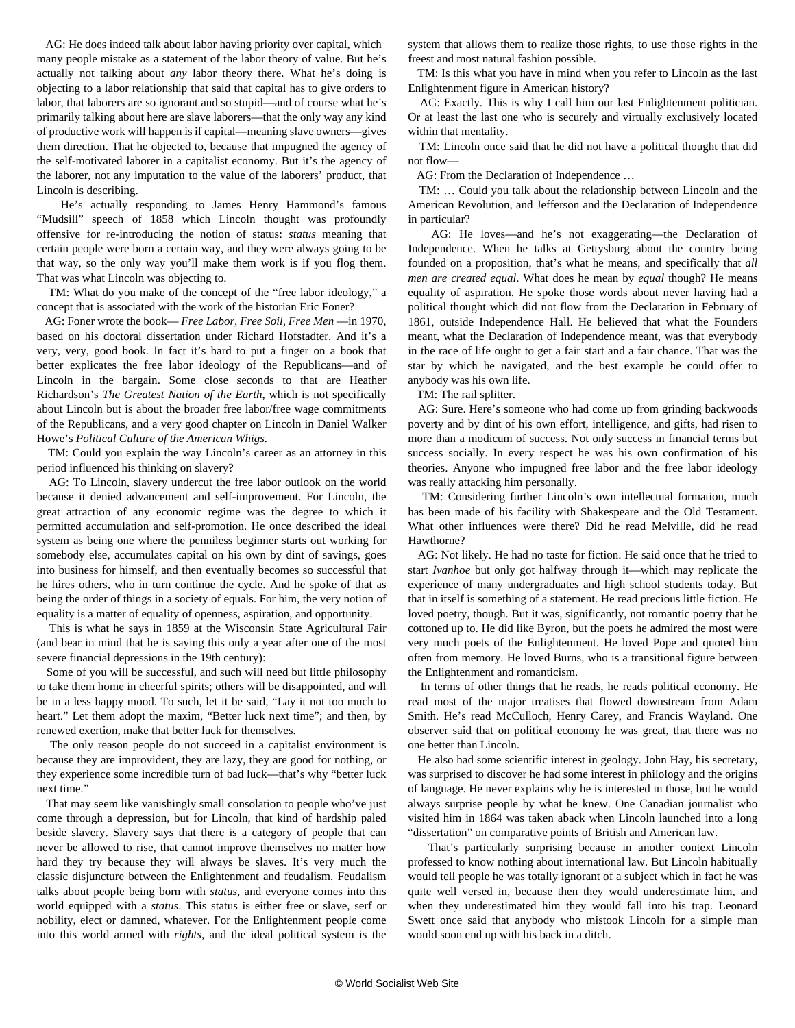AG: He does indeed talk about labor having priority over capital, which many people mistake as a statement of the labor theory of value. But he's actually not talking about *any* labor theory there. What he's doing is objecting to a labor relationship that said that capital has to give orders to labor, that laborers are so ignorant and so stupid—and of course what he's primarily talking about here are slave laborers—that the only way any kind of productive work will happen is if capital—meaning slave owners—gives them direction. That he objected to, because that impugned the agency of the self-motivated laborer in a capitalist economy. But it's the agency of the laborer, not any imputation to the value of the laborers' product, that Lincoln is describing.

 He's actually responding to James Henry Hammond's famous "Mudsill" speech of 1858 which Lincoln thought was profoundly offensive for re-introducing the notion of status: *status* meaning that certain people were born a certain way, and they were always going to be that way, so the only way you'll make them work is if you flog them. That was what Lincoln was objecting to.

 TM: What do you make of the concept of the "free labor ideology," a concept that is associated with the work of the historian Eric Foner?

 AG: Foner wrote the book— *Free Labor, Free Soil, Free Men* —in 1970, based on his doctoral dissertation under Richard Hofstadter. And it's a very, very, good book. In fact it's hard to put a finger on a book that better explicates the free labor ideology of the Republicans—and of Lincoln in the bargain. Some close seconds to that are Heather Richardson's *The Greatest Nation of the Earth*, which is not specifically about Lincoln but is about the broader free labor/free wage commitments of the Republicans, and a very good chapter on Lincoln in Daniel Walker Howe's *Political Culture of the American Whigs.*

 TM: Could you explain the way Lincoln's career as an attorney in this period influenced his thinking on slavery?

 AG: To Lincoln, slavery undercut the free labor outlook on the world because it denied advancement and self-improvement. For Lincoln, the great attraction of any economic regime was the degree to which it permitted accumulation and self-promotion. He once described the ideal system as being one where the penniless beginner starts out working for somebody else, accumulates capital on his own by dint of savings, goes into business for himself, and then eventually becomes so successful that he hires others, who in turn continue the cycle. And he spoke of that as being the order of things in a society of equals. For him, the very notion of equality is a matter of equality of openness, aspiration, and opportunity.

 This is what he says in 1859 at the Wisconsin State Agricultural Fair (and bear in mind that he is saying this only a year after one of the most severe financial depressions in the 19th century):

 Some of you will be successful, and such will need but little philosophy to take them home in cheerful spirits; others will be disappointed, and will be in a less happy mood. To such, let it be said, "Lay it not too much to heart." Let them adopt the maxim, "Better luck next time"; and then, by renewed exertion, make that better luck for themselves.

 The only reason people do not succeed in a capitalist environment is because they are improvident, they are lazy, they are good for nothing, or they experience some incredible turn of bad luck—that's why "better luck next time."

 That may seem like vanishingly small consolation to people who've just come through a depression, but for Lincoln, that kind of hardship paled beside slavery. Slavery says that there is a category of people that can never be allowed to rise, that cannot improve themselves no matter how hard they try because they will always be slaves. It's very much the classic disjuncture between the Enlightenment and feudalism. Feudalism talks about people being born with *status*, and everyone comes into this world equipped with a *status*. This status is either free or slave, serf or nobility, elect or damned, whatever. For the Enlightenment people come into this world armed with *rights*, and the ideal political system is the

system that allows them to realize those rights, to use those rights in the freest and most natural fashion possible.

 TM: Is this what you have in mind when you refer to Lincoln as the last Enlightenment figure in American history?

 AG: Exactly. This is why I call him our last Enlightenment politician. Or at least the last one who is securely and virtually exclusively located within that mentality.

 TM: Lincoln once said that he did not have a political thought that did not flow—

AG: From the Declaration of Independence …

 TM: … Could you talk about the relationship between Lincoln and the American Revolution, and Jefferson and the Declaration of Independence in particular?

 AG: He loves—and he's not exaggerating—the Declaration of Independence. When he talks at Gettysburg about the country being founded on a proposition, that's what he means, and specifically that *all men are created equal*. What does he mean by *equal* though? He means equality of aspiration. He spoke those words about never having had a political thought which did not flow from the Declaration in February of 1861, outside Independence Hall. He believed that what the Founders meant, what the Declaration of Independence meant, was that everybody in the race of life ought to get a fair start and a fair chance. That was the star by which he navigated, and the best example he could offer to anybody was his own life.

TM: The rail splitter.

 AG: Sure. Here's someone who had come up from grinding backwoods poverty and by dint of his own effort, intelligence, and gifts, had risen to more than a modicum of success. Not only success in financial terms but success socially. In every respect he was his own confirmation of his theories. Anyone who impugned free labor and the free labor ideology was really attacking him personally.

 TM: Considering further Lincoln's own intellectual formation, much has been made of his facility with Shakespeare and the Old Testament. What other influences were there? Did he read Melville, did he read Hawthorne?

 AG: Not likely. He had no taste for fiction. He said once that he tried to start *Ivanhoe* but only got halfway through it—which may replicate the experience of many undergraduates and high school students today. But that in itself is something of a statement. He read precious little fiction. He loved poetry, though. But it was, significantly, not romantic poetry that he cottoned up to. He did like Byron, but the poets he admired the most were very much poets of the Enlightenment. He loved Pope and quoted him often from memory. He loved Burns, who is a transitional figure between the Enlightenment and romanticism.

 In terms of other things that he reads, he reads political economy. He read most of the major treatises that flowed downstream from Adam Smith. He's read McCulloch, Henry Carey, and Francis Wayland. One observer said that on political economy he was great, that there was no one better than Lincoln.

 He also had some scientific interest in geology. John Hay, his secretary, was surprised to discover he had some interest in philology and the origins of language. He never explains why he is interested in those, but he would always surprise people by what he knew. One Canadian journalist who visited him in 1864 was taken aback when Lincoln launched into a long "dissertation" on comparative points of British and American law.

 That's particularly surprising because in another context Lincoln professed to know nothing about international law. But Lincoln habitually would tell people he was totally ignorant of a subject which in fact he was quite well versed in, because then they would underestimate him, and when they underestimated him they would fall into his trap. Leonard Swett once said that anybody who mistook Lincoln for a simple man would soon end up with his back in a ditch.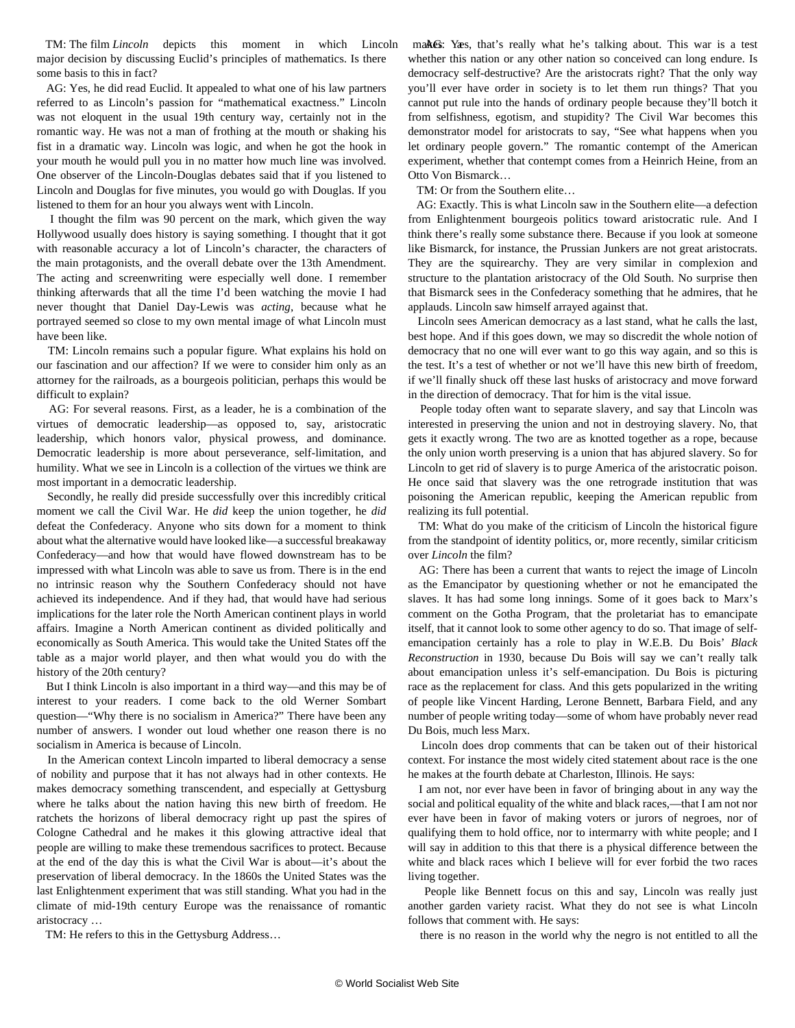TM: The film *Lincoln* depicts this moment in which Lincoln major decision by discussing Euclid's principles of mathematics. Is there some basis to this in fact?

 AG: Yes, he did read Euclid. It appealed to what one of his law partners referred to as Lincoln's passion for "mathematical exactness." Lincoln was not eloquent in the usual 19th century way, certainly not in the romantic way. He was not a man of frothing at the mouth or shaking his fist in a dramatic way. Lincoln was logic, and when he got the hook in your mouth he would pull you in no matter how much line was involved. One observer of the Lincoln-Douglas debates said that if you listened to Lincoln and Douglas for five minutes, you would go with Douglas. If you listened to them for an hour you always went with Lincoln.

 I thought the film was 90 percent on the mark, which given the way Hollywood usually does history is saying something. I thought that it got with reasonable accuracy a lot of Lincoln's character, the characters of the main protagonists, and the overall debate over the 13th Amendment. The acting and screenwriting were especially well done. I remember thinking afterwards that all the time I'd been watching the movie I had never thought that Daniel Day-Lewis was *acting*, because what he portrayed seemed so close to my own mental image of what Lincoln must have been like.

 TM: Lincoln remains such a popular figure. What explains his hold on our fascination and our affection? If we were to consider him only as an attorney for the railroads, as a bourgeois politician, perhaps this would be difficult to explain?

 AG: For several reasons. First, as a leader, he is a combination of the virtues of democratic leadership—as opposed to, say, aristocratic leadership, which honors valor, physical prowess, and dominance. Democratic leadership is more about perseverance, self-limitation, and humility. What we see in Lincoln is a collection of the virtues we think are most important in a democratic leadership.

 Secondly, he really did preside successfully over this incredibly critical moment we call the Civil War. He *did* keep the union together, he *did* defeat the Confederacy. Anyone who sits down for a moment to think about what the alternative would have looked like—a successful breakaway Confederacy—and how that would have flowed downstream has to be impressed with what Lincoln was able to save us from. There is in the end no intrinsic reason why the Southern Confederacy should not have achieved its independence. And if they had, that would have had serious implications for the later role the North American continent plays in world affairs. Imagine a North American continent as divided politically and economically as South America. This would take the United States off the table as a major world player, and then what would you do with the history of the 20th century?

 But I think Lincoln is also important in a third way—and this may be of interest to your readers. I come back to the old Werner Sombart question—"Why there is no socialism in America?" There have been any number of answers. I wonder out loud whether one reason there is no socialism in America is because of Lincoln.

 In the American context Lincoln imparted to liberal democracy a sense of nobility and purpose that it has not always had in other contexts. He makes democracy something transcendent, and especially at Gettysburg where he talks about the nation having this new birth of freedom. He ratchets the horizons of liberal democracy right up past the spires of Cologne Cathedral and he makes it this glowing attractive ideal that people are willing to make these tremendous sacrifices to protect. Because at the end of the day this is what the Civil War is about—it's about the preservation of liberal democracy. In the 1860s the United States was the last Enlightenment experiment that was still standing. What you had in the climate of mid-19th century Europe was the renaissance of romantic aristocracy …

TM: He refers to this in the Gettysburg Address…

makes: Yæs, that's really what he's talking about. This war is a test whether this nation or any other nation so conceived can long endure. Is democracy self-destructive? Are the aristocrats right? That the only way you'll ever have order in society is to let them run things? That you cannot put rule into the hands of ordinary people because they'll botch it from selfishness, egotism, and stupidity? The Civil War becomes this demonstrator model for aristocrats to say, "See what happens when you let ordinary people govern." The romantic contempt of the American experiment, whether that contempt comes from a Heinrich Heine, from an Otto Von Bismarck…

TM: Or from the Southern elite…

 AG: Exactly. This is what Lincoln saw in the Southern elite—a defection from Enlightenment bourgeois politics toward aristocratic rule. And I think there's really some substance there. Because if you look at someone like Bismarck, for instance, the Prussian Junkers are not great aristocrats. They are the squirearchy. They are very similar in complexion and structure to the plantation aristocracy of the Old South. No surprise then that Bismarck sees in the Confederacy something that he admires, that he applauds. Lincoln saw himself arrayed against that.

 Lincoln sees American democracy as a last stand, what he calls the last, best hope. And if this goes down, we may so discredit the whole notion of democracy that no one will ever want to go this way again, and so this is the test. It's a test of whether or not we'll have this new birth of freedom, if we'll finally shuck off these last husks of aristocracy and move forward in the direction of democracy. That for him is the vital issue.

 People today often want to separate slavery, and say that Lincoln was interested in preserving the union and not in destroying slavery. No, that gets it exactly wrong. The two are as knotted together as a rope, because the only union worth preserving is a union that has abjured slavery. So for Lincoln to get rid of slavery is to purge America of the aristocratic poison. He once said that slavery was the one retrograde institution that was poisoning the American republic, keeping the American republic from realizing its full potential.

 TM: What do you make of the criticism of Lincoln the historical figure from the standpoint of identity politics, or, more recently, similar criticism over *Lincoln* the film?

 AG: There has been a current that wants to reject the image of Lincoln as the Emancipator by questioning whether or not he emancipated the slaves. It has had some long innings. Some of it goes back to Marx's comment on the Gotha Program, that the proletariat has to emancipate itself, that it cannot look to some other agency to do so. That image of selfemancipation certainly has a role to play in W.E.B. Du Bois' *Black Reconstruction* in 1930, because Du Bois will say we can't really talk about emancipation unless it's self-emancipation. Du Bois is picturing race as the replacement for class. And this gets popularized in the writing of people like Vincent Harding, Lerone Bennett, Barbara Field, and any number of people writing today—some of whom have probably never read Du Bois, much less Marx.

 Lincoln does drop comments that can be taken out of their historical context. For instance the most widely cited statement about race is the one he makes at the fourth debate at Charleston, Illinois. He says:

 I am not, nor ever have been in favor of bringing about in any way the social and political equality of the white and black races,—that I am not nor ever have been in favor of making voters or jurors of negroes, nor of qualifying them to hold office, nor to intermarry with white people; and I will say in addition to this that there is a physical difference between the white and black races which I believe will for ever forbid the two races living together.

 People like Bennett focus on this and say, Lincoln was really just another garden variety racist. What they do not see is what Lincoln follows that comment with. He says:

there is no reason in the world why the negro is not entitled to all the